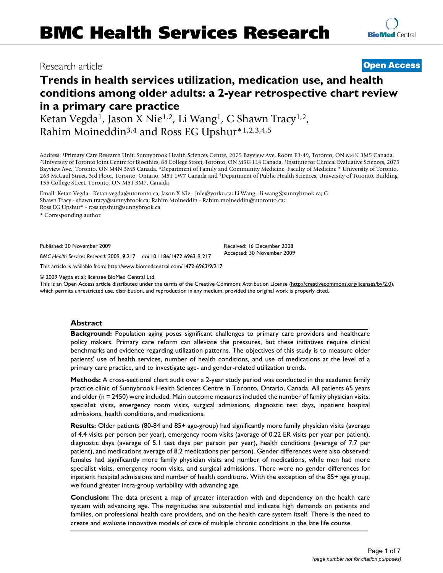## Research article **[Open Access](http://www.biomedcentral.com/info/about/charter/)**

# **Trends in health services utilization, medication use, and health conditions among older adults: a 2-year retrospective chart review in a primary care practice**

Ketan Vegda<sup>1</sup>, Jason X Nie<sup>1,2</sup>, Li Wang<sup>1</sup>, C Shawn Tracy<sup>1,2</sup>, Rahim Moineddin3,4 and Ross EG Upshur\*1,2,3,4,5

Address: <sup>1</sup>Primary Care Research Unit, Sunnybrook Health Sciences Centre, 2075 Bayview Ave, Room E3-49, Toronto, ON M4N 3M5 Canada, <sup>2</sup>University of Toronto Joint Centre for Bioethics, 88 College Street, Toronto, ON M5G 1 Bayview Ave., Toronto, ON M4N 3M5 Canada, 4Department of Family and Community Medicine, Faculty of Medicine \* University of Toronto, 263 McCaul Street, 3rd Floor, Toronto, Ontario, M5T 1W7 Canada and 5Department of Public Health Sciences, University of Toronto, Building, 155 College Street, Toronto, ON M5T 3M7, Canada

Email: Ketan Vegda - Ketan.vegda@utoronto.ca; Jason X Nie - jnie@yorku.ca; Li Wang - li.wang@sunnybrook.ca; C Shawn Tracy - shawn.tracy@sunnybrook.ca; Rahim Moineddin - Rahim.moineddin@utoronto.ca; Ross EG Upshur\* - ross.upshur@sunnybrook.ca

\* Corresponding author

Published: 30 November 2009

*BMC Health Services Research* 2009, **9**:217 doi:10.1186/1472-6963-9-217

[This article is available from: http://www.biomedcentral.com/1472-6963/9/217](http://www.biomedcentral.com/1472-6963/9/217)

© 2009 Vegda et al; licensee BioMed Central Ltd.

This is an Open Access article distributed under the terms of the Creative Commons Attribution License [\(http://creativecommons.org/licenses/by/2.0\)](http://creativecommons.org/licenses/by/2.0), which permits unrestricted use, distribution, and reproduction in any medium, provided the original work is properly cited.

#### **Abstract**

**Background:** Population aging poses significant challenges to primary care providers and healthcare policy makers. Primary care reform can alleviate the pressures, but these initiatives require clinical benchmarks and evidence regarding utilization patterns. The objectives of this study is to measure older patients' use of health services, number of health conditions, and use of medications at the level of a primary care practice, and to investigate age- and gender-related utilization trends.

**Methods:** A cross-sectional chart audit over a 2-year study period was conducted in the academic family practice clinic of Sunnybrook Health Sciences Centre in Toronto, Ontario, Canada. All patients 65 years and older (n = 2450) were included. Main outcome measures included the number of family physician visits, specialist visits, emergency room visits, surgical admissions, diagnostic test days, inpatient hospital admissions, health conditions, and medications.

**Results:** Older patients (80-84 and 85+ age-group) had significantly more family physician visits (average of 4.4 visits per person per year), emergency room visits (average of 0.22 ER visits per year per patient), diagnostic days (average of 5.1 test days per person per year), health conditions (average of 7.7 per patient), and medications average of 8.2 medications per person). Gender differences were also observed: females had significantly more family physician visits and number of medications, while men had more specialist visits, emergency room visits, and surgical admissions. There were no gender differences for inpatient hospital admissions and number of health conditions. With the exception of the 85+ age group, we found greater intra-group variability with advancing age.

**Conclusion:** The data present a map of greater interaction with and dependency on the health care system with advancing age. The magnitudes are substantial and indicate high demands on patients and families, on professional health care providers, and on the health care system itself. There is the need to create and evaluate innovative models of care of multiple chronic conditions in the late life course.

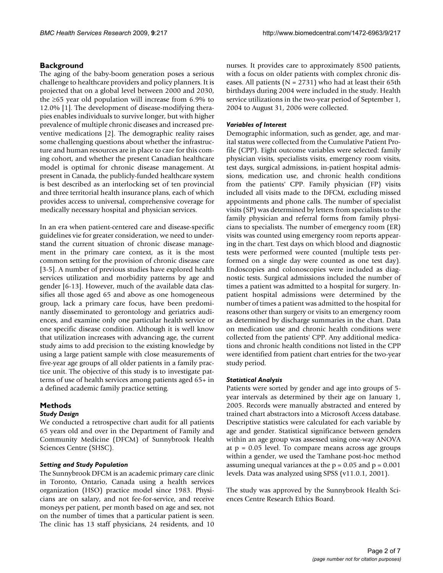#### **Background**

The aging of the baby-boom generation poses a serious challenge to healthcare providers and policy planners. It is projected that on a global level between 2000 and 2030, the ≥65 year old population will increase from 6.9% to 12.0% [1]. The development of disease-modifying therapies enables individuals to survive longer, but with higher prevalence of multiple chronic diseases and increased preventive medications [2]. The demographic reality raises some challenging questions about whether the infrastructure and human resources are in place to care for this coming cohort, and whether the present Canadian healthcare model is optimal for chronic disease management. At present in Canada, the publicly-funded healthcare system is best described as an interlocking set of ten provincial and three territorial health insurance plans, each of which provides access to universal, comprehensive coverage for medically necessary hospital and physician services.

In an era when patient-centered care and disease-specific guidelines vie for greater consideration, we need to understand the current situation of chronic disease management in the primary care context, as it is the most common setting for the provision of chronic disease care [3-5]. A number of previous studies have explored health services utilization and morbidity patterns by age and gender [6-13]. However, much of the available data classifies all those aged 65 and above as one homogeneous group, lack a primary care focus, have been predominantly disseminated to gerontology and geriatrics audiences, and examine only one particular health service or one specific disease condition. Although it is well know that utilization increases with advancing age, the current study aims to add precision to the existing knowledge by using a large patient sample with close measurements of five-year age groups of all older patients in a family practice unit. The objective of this study is to investigate patterns of use of health services among patients aged 65+ in a defined academic family practice setting.

### **Methods**

#### *Study Design*

We conducted a retrospective chart audit for all patients 65 years old and over in the Department of Family and Community Medicine (DFCM) of Sunnybrook Health Sciences Centre (SHSC).

#### *Setting and Study Population*

The Sunnybrook DFCM is an academic primary care clinic in Toronto, Ontario, Canada using a health services organization (HSO) practice model since 1983. Physicians are on salary, and not fee-for-service, and receive moneys per patient, per month based on age and sex, not on the number of times that a particular patient is seen. The clinic has 13 staff physicians, 24 residents, and 10

nurses. It provides care to approximately 8500 patients, with a focus on older patients with complex chronic diseases. All patients ( $N = 2731$ ) who had at least their 65th birthdays during 2004 were included in the study. Health service utilizations in the two-year period of September 1, 2004 to August 31, 2006 were collected.

#### *Variables of Interest*

Demographic information, such as gender, age, and marital status were collected from the Cumulative Patient Profile (CPP). Eight outcome variables were selected: family physician visits, specialists visits, emergency room visits, test days, surgical admissions, in-patient hospital admissions, medication use, and chronic health conditions from the patients' CPP. Family physician (FP) visits included all visits made to the DFCM, excluding missed appointments and phone calls. The number of specialist visits (SP) was determined by letters from specialists to the family physician and referral forms from family physicians to specialists. The number of emergency room (ER) visits was counted using emergency room reports appearing in the chart. Test days on which blood and diagnostic tests were performed were counted (multiple tests performed on a single day were counted as one test day). Endoscopies and colonoscopies were included as diagnostic tests. Surgical admissions included the number of times a patient was admitted to a hospital for surgery. Inpatient hospital admissions were determined by the number of times a patient was admitted to the hospital for reasons other than surgery or visits to an emergency room as determined by discharge summaries in the chart. Data on medication use and chronic health conditions were collected from the patients' CPP. Any additional medications and chronic health conditions not listed in the CPP were identified from patient chart entries for the two-year study period.

#### *Statistical Analysis*

Patients were sorted by gender and age into groups of 5 year intervals as determined by their age on January 1, 2005. Records were manually abstracted and entered by trained chart abstractors into a Microsoft Access database. Descriptive statistics were calculated for each variable by age and gender. Statistical significance between genders within an age group was assessed using one-way ANOVA at p = 0.05 level. To compare means across age groups within a gender, we used the Tamhane post-hoc method assuming unequal variances at the  $p = 0.05$  and  $p = 0.001$ levels. Data was analyzed using SPSS (v11.0.1, 2001).

The study was approved by the Sunnybrook Health Sciences Centre Research Ethics Board.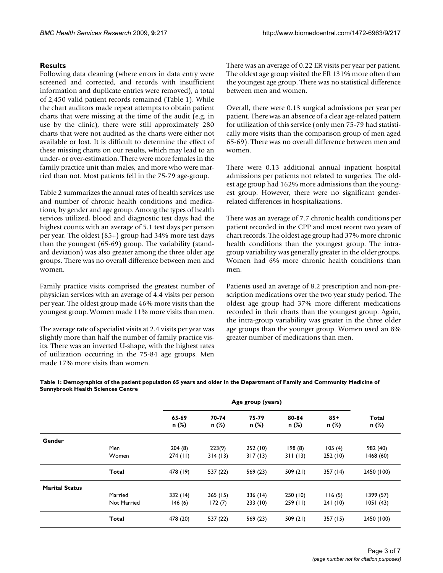#### **Results**

Following data cleaning (where errors in data entry were screened and corrected, and records with insufficient information and duplicate entries were removed), a total of 2,450 valid patient records remained (Table 1). While the chart auditors made repeat attempts to obtain patient charts that were missing at the time of the audit (e.g. in use by the clinic), there were still approximately 280 charts that were not audited as the charts were either not available or lost. It is difficult to determine the effect of these missing charts on our results, which may lead to an under- or over-estimation. There were more females in the family practice unit than males, and more who were married than not. Most patients fell in the 75-79 age-group.

Table 2 summarizes the annual rates of health services use and number of chronic health conditions and medications, by gender and age group. Among the types of health services utilized, blood and diagnostic test days had the highest counts with an average of 5.1 test days per person per year. The oldest (85+) group had 34% more test days than the youngest (65-69) group. The variability (standard deviation) was also greater among the three older age groups. There was no overall difference between men and women.

Family practice visits comprised the greatest number of physician services with an average of 4.4 visits per person per year. The oldest group made 46% more visits than the youngest group. Women made 11% more visits than men.

The average rate of specialist visits at 2.4 visits per year was slightly more than half the number of family practice visits. There was an inverted U-shape, with the highest rates of utilization occurring in the 75-84 age groups. Men made 17% more visits than women.

There was an average of 0.22 ER visits per year per patient. The oldest age group visited the ER 131% more often than the youngest age group. There was no statistical difference between men and women.

Overall, there were 0.13 surgical admissions per year per patient. There was an absence of a clear age-related pattern for utilization of this service (only men 75-79 had statistically more visits than the comparison group of men aged 65-69). There was no overall difference between men and women.

There were 0.13 additional annual inpatient hospital admissions per patients not related to surgeries. The oldest age group had 162% more admissions than the youngest group. However, there were no significant genderrelated differences in hospitalizations.

There was an average of 7.7 chronic health conditions per patient recorded in the CPP and most recent two years of chart records. The oldest age group had 37% more chronic health conditions than the youngest group. The intragroup variability was generally greater in the older groups. Women had 6% more chronic health conditions than men.

Patients used an average of 8.2 prescription and non-prescription medications over the two year study period. The oldest age group had 37% more different medications recorded in their charts than the youngest group. Again, the intra-group variability was greater in the three older age groups than the younger group. Women used an 8% greater number of medications than men.

|                       |             | Age group (years) |                |                |                |                |                |
|-----------------------|-------------|-------------------|----------------|----------------|----------------|----------------|----------------|
|                       |             | 65-69<br>n (%)    | 70-74<br>n (%) | 75-79<br>n (%) | 80-84<br>n (%) | $85+$<br>n (%) | Total<br>n (%) |
| Gender                |             |                   |                |                |                |                |                |
|                       | Men         | 204(8)            | 223(9)         | 252(10)        | 198(8)         | 105(4)         | 982 (40)       |
|                       | Women       | 274 (11)          | 314(13)        | 317(13)        | 311(13)        | 252 (10)       | 1468(60)       |
|                       | Total       | 478 (19)          | 537 (22)       | 569 (23)       | 509(21)        | 357 (14)       | 2450 (100)     |
| <b>Marital Status</b> |             |                   |                |                |                |                |                |
|                       | Married     | 332(14)           | 365(15)        | 336(14)        | 250(10)        | 116(5)         | 1399 (57)      |
|                       | Not Married | 146(6)            | 172(7)         | 233(10)        | 259(11)        | 241(10)        | 1051(43)       |
|                       | Total       | 478 (20)          | 537 (22)       | 569 (23)       | 509(21)        | 357(15)        | 2450 (100)     |

**Table 1: Demographics of the patient population 65 years and older in the Department of Family and Community Medicine of Sunnybrook Health Sciences Centre**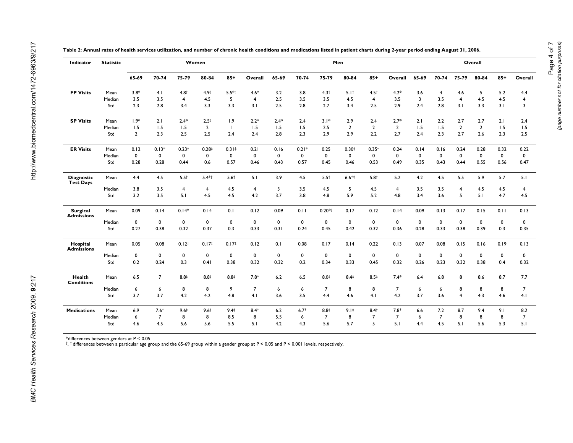| Overall<br>$85+$           |
|----------------------------|
|                            |
| 5.2<br>4.4                 |
| 4.5<br>$\overline{4}$      |
| 3.1<br>$\overline{3}$      |
| 2.1<br>2.4                 |
| 1.5<br>1.5                 |
| 2.3<br>2.5                 |
| 0.32<br>0.22               |
| $\mathbf 0$<br>0           |
| 0.47<br>0.56               |
| 5.7<br>5.1                 |
| 4.5<br>4                   |
| 4.7<br>4.5                 |
| 0.13<br>0.11               |
| 0                          |
| 0.35<br>0.3                |
| 0.19<br>0.13               |
| $\mathbf 0$<br>0           |
| 0.32<br>0.4                |
| 8.7<br>7.7                 |
| 7                          |
| 4.6<br>4.1                 |
|                            |
| 9.1<br>8.2                 |
| 8<br>$\overline{7}$<br>5.1 |
| 0<br>8                     |

**Table 2: Annual rates of health services utilization, and number of chronic health conditions and medications listed in patient charts during 2-year period ending August 31, 2006.**

\*differences between genders at P < 0.05 †, ‡ differences between a particular age group and the 65-69 group within a gender group at P < 0.05 and P < 0.001 levels, respectively.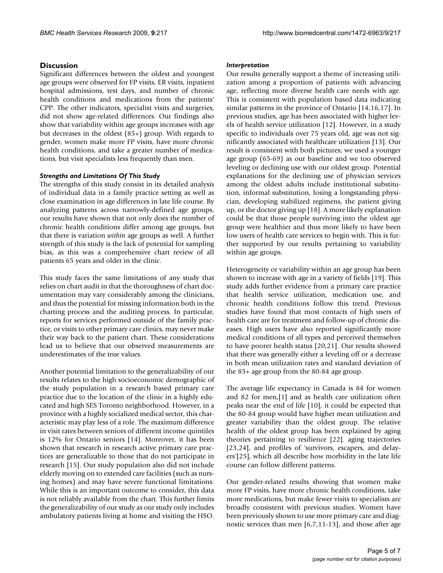#### **Discussion**

Significant differences between the oldest and youngest age groups were observed for FP visits, ER visits, inpatient hospital admissions, test days, and number of chronic health conditions and medications from the patients' CPP. The other indicators, specialist visits and surgeries, did not show age-related differences. Our findings also show that variability within age groups increases with age but decreases in the oldest (85+) group. With regards to gender, women make more FP visits, have more chronic health conditions, and take a greater number of medications, but visit specialists less frequently than men.

#### *Strengths and Limitations Of This Study*

The strengths of this study consist in its detailed analysis of individual data in a family practice setting as well as close examination in age differences in late life course. By analyzing patterns across narrowly-defined age groups, our results have shown that not only does the number of chronic health conditions differ among age groups, but that there is variation *within* age groups as well. A further strength of this study is the lack of potential for sampling bias, as this was a comprehensive chart review of all patients 65 years and older in the clinic.

This study faces the same limitations of any study that relies on chart audit in that the thoroughness of chart documentation may vary considerably among the clinicians, and thus the potential for missing information both in the charting process and the auditing process. In particular, reports for services performed outside of the family practice, or visits to other primary care clinics, may never make their way back to the patient chart. These considerations lead us to believe that our observed measurements are underestimates of the true values.

Another potential limitation to the generalizability of our results relates to the high socioeconomic demographic of the study population in a research based primary care practice due to the location of the clinic in a highly educated and high SES Toronto neighborhood. However, in a province with a highly socialized medical sector, this characteristic may play less of a role. The maximum difference in visit rates between seniors of different income quintiles is 12% for Ontario seniors [14]. Moreover, it has been shown that research in research active primary care practices are generalizable to those that do not participate in research [15]. Our study population also did not include elderly moving on to extended care facilities (such as nursing homes) and may have severe functional limitations. While this is an important outcome to consider, this data is not reliably available from the chart. This further limits the generalizability of our study as our study only includes ambulatory patients living at home and visiting the HSO.

#### *Interpretation*

Our results generally support a theme of increasing utilization among a proportion of patients with advancing age, reflecting more diverse health care needs with age. This is consistent with population based data indicating similar patterns in the province of Ontario [14,16,17]. In previous studies, age has been associated with higher levels of health service utilization [12]. However, in a study specific to individuals over 75 years old, age was not significantly associated with healthcare utilization [13]. Our result is consistent with both pictures; we used a younger age group (65-69) as our baseline and we too observed leveling or declining use with our oldest group. Potential explanations for the declining use of physician services among the oldest adults include institutional substitution, informal substitution, losing a longstanding physician, developing stabilized regimens, the patient giving up, or the doctor giving up [18]. A more likely explanation could be that those people surviving into the oldest age group were healthier and thus more likely to have been low users of health care services to begin with. This is further supported by our results pertaining to variability within age groups.

Heterogeneity or variability within an age group has been shown to increase with age in a variety of fields [19]. This study adds further evidence from a primary care practice that health service utilization, medication use, and chronic health conditions follow this trend. Previous studies have found that most contacts of high users of health care are for treatment and follow-up of chronic diseases. High users have also reported significantly more medical conditions of all types and perceived themselves to have poorer health status [20,21]. Our results showed that there was generally either a leveling off or a decrease in both mean utilization rates and standard deviation of the 85+ age group from the 80-84 age group.

The average life expectancy in Canada is 84 for women and 82 for men,[1] and as health care utilization often peaks near the end of life [10], it could be expected that the 80-84 group would have higher mean utilization and greater variability than the oldest group. The relative health of the oldest group has been explained by aging theories pertaining to resilience [22]. aging trajectories [23,24], and profiles of 'survivors, escapers, and delayers'[25], which all describe how morbidity in the late life course can follow different patterns.

Our gender-related results showing that women make more FP visits, have more chronic health conditions, take more medications, but make fewer visits to specialists are broadly consistent with previous studies. Women have been previously shown to use more primary care and diagnostic services than men [6,7,11-13], and those after age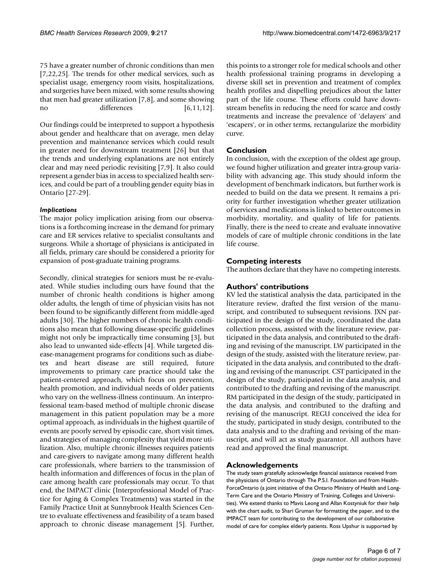75 have a greater number of chronic conditions than men [7,22,25]. The trends for other medical services, such as specialist usage, emergency room visits, hospitalizations, and surgeries have been mixed, with some results showing that men had greater utilization [7,8], and some showing no differences [6,11,12].

Our findings could be interpreted to support a hypothesis about gender and healthcare that on average, men delay prevention and maintenance services which could result in greater need for downstream treatment [26] but that the trends and underlying explanations are not entirely clear and may need periodic revisiting [7,9]. It also could represent a gender bias in access to specialized health services, and could be part of a troubling gender equity bias in Ontario [27-29].

#### *Implications*

The major policy implication arising from our observations is a forthcoming increase in the demand for primary care and ER services relative to specialist consultants and surgeons. While a shortage of physicians is anticipated in all fields, primary care should be considered a priority for expansion of post-graduate training programs.

Secondly, clinical strategies for seniors must be re-evaluated. While studies including ours have found that the number of chronic health conditions is higher among older adults, the length of time of physician visits has not been found to be significantly different from middle-aged adults [30]. The higher numbers of chronic health conditions also mean that following disease-specific guidelines might not only be impractically time consuming [3], but also lead to unwanted side-effects [4]. While targeted disease-management programs for conditions such as diabetes and heart disease are still required, future improvements to primary care practice should take the patient-centered approach, which focus on prevention, health promotion, and individual needs of older patients who vary on the wellness-illness continuum. An interprofessional team-based method of multiple chronic disease management in this patient population may be a more optimal approach, as individuals in the highest quartile of events are poorly served by episodic care, short visit times, and strategies of managing complexity that yield more utilization. Also, multiple chronic illnesses requires patients and care-givers to navigate among many different health care professionals, where barriers to the transmission of health information and differences of focus in the plan of care among health care professionals may occur. To that end, the IMPACT clinic (Interprofessional Model of Practice for Aging & Complex Treatments) was started in the Family Practice Unit at Sunnybrook Health Sciences Centre to evaluate effectiveness and feasibility of a team based approach to chronic disease management [5]. Further,

this points to a stronger role for medical schools and other health professional training programs in developing a diverse skill set in prevention and treatment of complex health profiles and dispelling prejudices about the latter part of the life course. These efforts could have downstream benefits in reducing the need for scarce and costly treatments and increase the prevalence of 'delayers' and 'escapers', or in other terms, rectangularize the morbidity curve.

### **Conclusion**

In conclusion, with the exception of the oldest age group, we found higher utilization and greater intra-group variability with advancing age. This study should inform the development of benchmark indicators, but further work is needed to build on the data we present. It remains a priority for further investigation whether greater utilization of services and medications is linked to better outcomes in morbidity, mortality, and quality of life for patients. Finally, there is the need to create and evaluate innovative models of care of multiple chronic conditions in the late life course.

### **Competing interests**

The authors declare that they have no competing interests.

#### **Authors' contributions**

KV led the statistical analysis the data, participated in the literature review, drafted the first version of the manuscript, and contributed to subsequent revisions. JXN participated in the design of the study, coordinated the data collection process, assisted with the literature review, participated in the data analysis, and contributed to the drafting and revising of the manuscript. LW participated in the design of the study, assisted with the literature review, participated in the data analysis, and contributed to the drafting and revising of the manuscript. CST participated in the design of the study, participated in the data analysis, and contributed to the drafting and revising of the manuscript. RM participated in the design of the study, participated in the data analysis, and contributed to the drafting and revising of the manuscript. REGU conceived the idea for the study, participated in study design, contributed to the data analysis and to the drafting and revising of the manuscript, and will act as study guarantor. All authors have read and approved the final manuscript.

#### **Acknowledgements**

The study team gratefully acknowledge financial assistance received from the physicians of Ontario through The P.S.I. Foundation and from Health-ForceOntario (a joint initiative of the Ontario Ministry of Health and Long-Term Care and the Ontario Ministry of Training, Colleges and Universities). We extend thanks to Mavis Leong and Allan Kostyniuk for their help with the chart audit, to Shari Gruman for formatting the paper, and to the IMPACT team for contributing to the development of our collaborative model of care for complex elderly patients. Ross Upshur is supported by